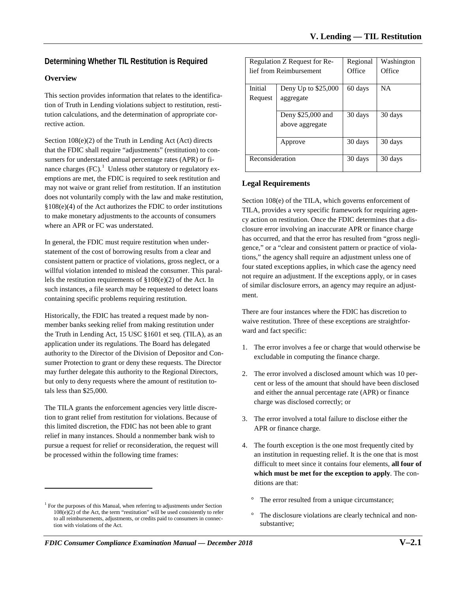# **Determining Whether TIL Restitution is Required**

## **Overview**

This section provides information that relates to the identification of Truth in Lending violations subject to restitution, restitution calculations, and the determination of appropriate corrective action.

Section 108(e)(2) of the Truth in Lending Act (Act) directs that the FDIC shall require "adjustments" (restitution) to consumers for understated annual percentage rates (APR) or finance charges  $(FC)^{1}$  $(FC)^{1}$  $(FC)^{1}$  Unless other statutory or regulatory exemptions are met, the FDIC is required to seek restitution and may not waive or grant relief from restitution. If an institution does not voluntarily comply with the law and make restitution, §108(e)(4) of the Act authorizes the FDIC to order institutions to make monetary adjustments to the accounts of consumers where an APR or FC was understated.

In general, the FDIC must require restitution when understatement of the cost of borrowing results from a clear and consistent pattern or practice of violations, gross neglect, or a willful violation intended to mislead the consumer. This parallels the restitution requirements of §108(e)(2) of the Act. In such instances, a file search may be requested to detect loans containing specific problems requiring restitution.

Historically, the FDIC has treated a request made by nonmember banks seeking relief from making restitution under the Truth in Lending Act, 15 USC §1601 et seq. (TILA), as an application under its regulations. The Board has delegated authority to the Director of the Division of Depositor and Consumer Protection to grant or deny these requests. The Director may further delegate this authority to the Regional Directors, but only to deny requests where the amount of restitution totals less than \$25,000.

The TILA grants the enforcement agencies very little discretion to grant relief from restitution for violations. Because of this limited discretion, the FDIC has not been able to grant relief in many instances. Should a nonmember bank wish to pursue a request for relief or reconsideration, the request will be processed within the following time frames:

 $\overline{a}$ 

| Regulation Z Request for Re- |                     | Regional | Washington |
|------------------------------|---------------------|----------|------------|
| lief from Reimbursement      |                     | Office   | Office     |
|                              |                     |          |            |
| Initial                      | Deny Up to \$25,000 | 60 days  | <b>NA</b>  |
| Request                      | aggregate           |          |            |
|                              |                     |          |            |
|                              | Deny \$25,000 and   | 30 days  | 30 days    |
|                              | above aggregate     |          |            |
|                              |                     |          |            |
|                              | Approve             | 30 days  | 30 days    |
|                              |                     |          |            |
| Reconsideration              |                     | 30 days  | 30 days    |
|                              |                     |          |            |

## **Legal Requirements**

Section 108(e) of the TILA, which governs enforcement of TILA, provides a very specific framework for requiring agency action on restitution. Once the FDIC determines that a disclosure error involving an inaccurate APR or finance charge has occurred, and that the error has resulted from "gross negligence," or a "clear and consistent pattern or practice of violations," the agency shall require an adjustment unless one of four stated exceptions applies, in which case the agency need not require an adjustment. If the exceptions apply, or in cases of similar disclosure errors, an agency may require an adjustment.

There are four instances where the FDIC has discretion to waive restitution. Three of these exceptions are straightforward and fact specific:

- 1. The error involves a fee or charge that would otherwise be excludable in computing the finance charge.
- 2. The error involved a disclosed amount which was 10 percent or less of the amount that should have been disclosed and either the annual percentage rate (APR) or finance charge was disclosed correctly; or
- 3. The error involved a total failure to disclose either the APR or finance charge.
- 4. The fourth exception is the one most frequently cited by an institution in requesting relief. It is the one that is most difficult to meet since it contains four elements, **all four of which must be met for the exception to apply**. The conditions are that:
	- ° The error resulted from a unique circumstance;
	- The disclosure violations are clearly technical and nonsubstantive;

<span id="page-0-0"></span><sup>&</sup>lt;sup>1</sup> For the purposes of this Manual, when referring to adjustments under Section  $108(\hat{e})(2)$  of the Act, the term "restitution" will be used consistently to refer to all reimbursements, adjustments, or credits paid to consumers in connection with violations of the Act.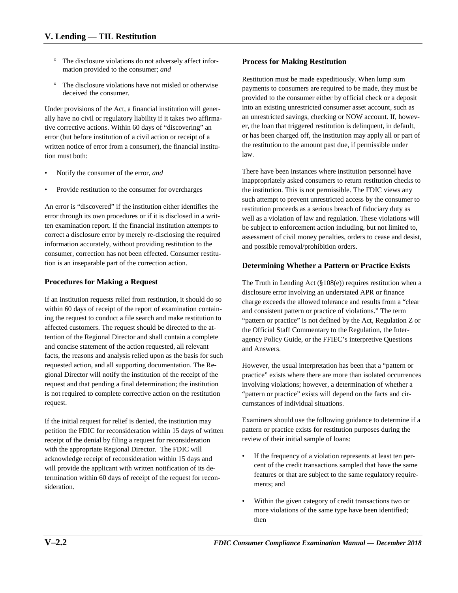- The disclosure violations do not adversely affect information provided to the consumer; *and*
- ° The disclosure violations have not misled or otherwise deceived the consumer.

Under provisions of the Act, a financial institution will generally have no civil or regulatory liability if it takes two affirmative corrective actions. Within 60 days of "discovering" an error (but before institution of a civil action or receipt of a written notice of error from a consumer), the financial institution must both:

- Notify the consumer of the error, *and*
- Provide restitution to the consumer for overcharges

An error is "discovered" if the institution either identifies the error through its own procedures or if it is disclosed in a written examination report. If the financial institution attempts to correct a disclosure error by merely re-disclosing the required information accurately, without providing restitution to the consumer, correction has not been effected. Consumer restitution is an inseparable part of the correction action.

## **Procedures for Making a Request**

If an institution requests relief from restitution, it should do so within 60 days of receipt of the report of examination containing the request to conduct a file search and make restitution to affected customers. The request should be directed to the attention of the Regional Director and shall contain a complete and concise statement of the action requested, all relevant facts, the reasons and analysis relied upon as the basis for such requested action, and all supporting documentation. The Regional Director will notify the institution of the receipt of the request and that pending a final determination; the institution is not required to complete corrective action on the restitution request.

If the initial request for relief is denied, the institution may petition the FDIC for reconsideration within 15 days of written receipt of the denial by filing a request for reconsideration with the appropriate Regional Director. The FDIC will acknowledge receipt of reconsideration within 15 days and will provide the applicant with written notification of its determination within 60 days of receipt of the request for reconsideration.

## **Process for Making Restitution**

Restitution must be made expeditiously. When lump sum payments to consumers are required to be made, they must be provided to the consumer either by official check or a deposit into an existing unrestricted consumer asset account, such as an unrestricted savings, checking or NOW account. If, however, the loan that triggered restitution is delinquent, in default, or has been charged off, the institution may apply all or part of the restitution to the amount past due, if permissible under law.

There have been instances where institution personnel have inappropriately asked consumers to return restitution checks to the institution. This is not permissible. The FDIC views any such attempt to prevent unrestricted access by the consumer to restitution proceeds as a serious breach of fiduciary duty as well as a violation of law and regulation. These violations will be subject to enforcement action including, but not limited to, assessment of civil money penalties, orders to cease and desist, and possible removal/prohibition orders.

## **Determining Whether a Pattern or Practice Exists**

The Truth in Lending Act (§108(e)) requires restitution when a disclosure error involving an understated APR or finance charge exceeds the allowed tolerance and results from a "clear and consistent pattern or practice of violations." The term "pattern or practice" is not defined by the Act, Regulation Z or the Official Staff Commentary to the Regulation, the Interagency Policy Guide, or the FFIEC's interpretive Questions and Answers.

However, the usual interpretation has been that a "pattern or practice" exists where there are more than isolated occurrences involving violations; however, a determination of whether a "pattern or practice" exists will depend on the facts and circumstances of individual situations.

Examiners should use the following guidance to determine if a pattern or practice exists for restitution purposes during the review of their initial sample of loans:

- If the frequency of a violation represents at least ten percent of the credit transactions sampled that have the same features or that are subject to the same regulatory requirements; and
- Within the given category of credit transactions two or more violations of the same type have been identified; then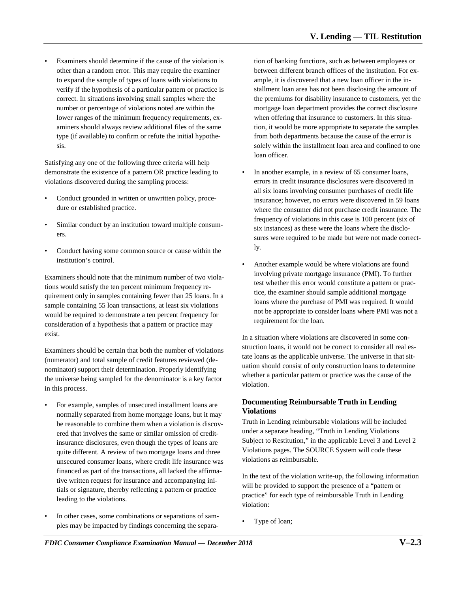Examiners should determine if the cause of the violation is other than a random error. This may require the examiner to expand the sample of types of loans with violations to verify if the hypothesis of a particular pattern or practice is correct. In situations involving small samples where the number or percentage of violations noted are within the lower ranges of the minimum frequency requirements, examiners should always review additional files of the same type (if available) to confirm or refute the initial hypothesis.

Satisfying any one of the following three criteria will help demonstrate the existence of a pattern OR practice leading to violations discovered during the sampling process:

- Conduct grounded in written or unwritten policy, procedure or established practice.
- Similar conduct by an institution toward multiple consumers.
- Conduct having some common source or cause within the institution's control.

Examiners should note that the minimum number of two violations would satisfy the ten percent minimum frequency requirement only in samples containing fewer than 25 loans. In a sample containing 55 loan transactions, at least six violations would be required to demonstrate a ten percent frequency for consideration of a hypothesis that a pattern or practice may exist.

Examiners should be certain that both the number of violations (numerator) and total sample of credit features reviewed (denominator) support their determination. Properly identifying the universe being sampled for the denominator is a key factor in this process.

- For example, samples of unsecured installment loans are normally separated from home mortgage loans, but it may be reasonable to combine them when a violation is discovered that involves the same or similar omission of creditinsurance disclosures, even though the types of loans are quite different. A review of two mortgage loans and three unsecured consumer loans, where credit life insurance was financed as part of the transactions, all lacked the affirmative written request for insurance and accompanying initials or signature, thereby reflecting a pattern or practice leading to the violations.
- In other cases, some combinations or separations of samples may be impacted by findings concerning the separa-

tion of banking functions, such as between employees or between different branch offices of the institution. For example, it is discovered that a new loan officer in the installment loan area has not been disclosing the amount of the premiums for disability insurance to customers, yet the mortgage loan department provides the correct disclosure when offering that insurance to customers. In this situation, it would be more appropriate to separate the samples from both departments because the cause of the error is solely within the installment loan area and confined to one loan officer.

- In another example, in a review of 65 consumer loans, errors in credit insurance disclosures were discovered in all six loans involving consumer purchases of credit life insurance; however, no errors were discovered in 59 loans where the consumer did not purchase credit insurance. The frequency of violations in this case is 100 percent (six of six instances) as these were the loans where the disclosures were required to be made but were not made correctly.
- Another example would be where violations are found involving private mortgage insurance (PMI). To further test whether this error would constitute a pattern or practice, the examiner should sample additional mortgage loans where the purchase of PMI was required. It would not be appropriate to consider loans where PMI was not a requirement for the loan.

In a situation where violations are discovered in some construction loans, it would not be correct to consider all real estate loans as the applicable universe. The universe in that situation should consist of only construction loans to determine whether a particular pattern or practice was the cause of the violation.

## **Documenting Reimbursable Truth in Lending Violations**

Truth in Lending reimbursable violations will be included under a separate heading, "Truth in Lending Violations Subject to Restitution," in the applicable Level 3 and Level 2 Violations pages. The SOURCE System will code these violations as reimbursable.

In the text of the violation write-up, the following information will be provided to support the presence of a "pattern or practice" for each type of reimbursable Truth in Lending violation:

Type of loan;